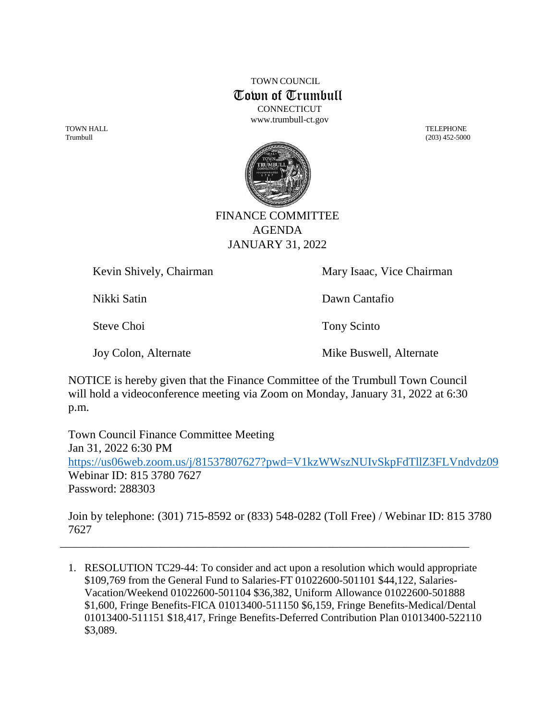TOWN COUNCIL Town of Trumbull **CONNECTICUT** [www.trumbull-ct.gov](http://www.trumbull-ct.gov/)

TOWN HALL TELEPHONE



## FINANCE COMMITTEE AGENDA JANUARY 31, 2022

Kevin Shively, Chairman Mary Isaac, Vice Chairman

Nikki Satin Dawn Cantafio

Steve Choi Tony Scinto

Joy Colon, Alternate Mike Buswell, Alternate

NOTICE is hereby given that the Finance Committee of the Trumbull Town Council will hold a videoconference meeting via Zoom on Monday, January 31, 2022 at 6:30 p.m.

Town Council Finance Committee Meeting Jan 31, 2022 6:30 PM <https://us06web.zoom.us/j/81537807627?pwd=V1kzWWszNUIvSkpFdTllZ3FLVndvdz09> Webinar ID: 815 3780 7627 Password: 288303

Join by telephone: (301) 715-8592 or (833) 548-0282 (Toll Free) / Webinar ID: 815 3780 7627

\_\_\_\_\_\_\_\_\_\_\_\_\_\_\_\_\_\_\_\_\_\_\_\_\_\_\_\_\_\_\_\_\_\_\_\_\_\_\_\_\_\_\_\_\_\_\_\_\_\_\_\_\_\_\_\_\_\_\_\_\_\_\_\_\_\_\_\_\_\_\_\_\_\_\_

1. RESOLUTION TC29-44: To consider and act upon a resolution which would appropriate \$109,769 from the General Fund to Salaries-FT 01022600-501101 \$44,122, Salaries-Vacation/Weekend 01022600-501104 \$36,382, Uniform Allowance 01022600-501888 \$1,600, Fringe Benefits-FICA 01013400-511150 \$6,159, Fringe Benefits-Medical/Dental 01013400-511151 \$18,417, Fringe Benefits-Deferred Contribution Plan 01013400-522110 \$3,089.

Trumbull (203) 452-5000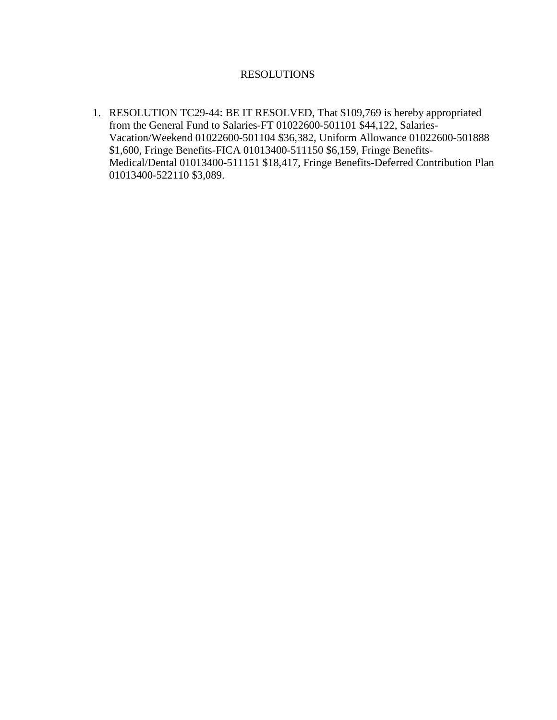## RESOLUTIONS

1. RESOLUTION TC29-44: BE IT RESOLVED, That \$109,769 is hereby appropriated from the General Fund to Salaries-FT 01022600-501101 \$44,122, Salaries-Vacation/Weekend 01022600-501104 \$36,382, Uniform Allowance 01022600-501888 \$1,600, Fringe Benefits-FICA 01013400-511150 \$6,159, Fringe Benefits-Medical/Dental 01013400-511151 \$18,417, Fringe Benefits-Deferred Contribution Plan 01013400-522110 \$3,089.